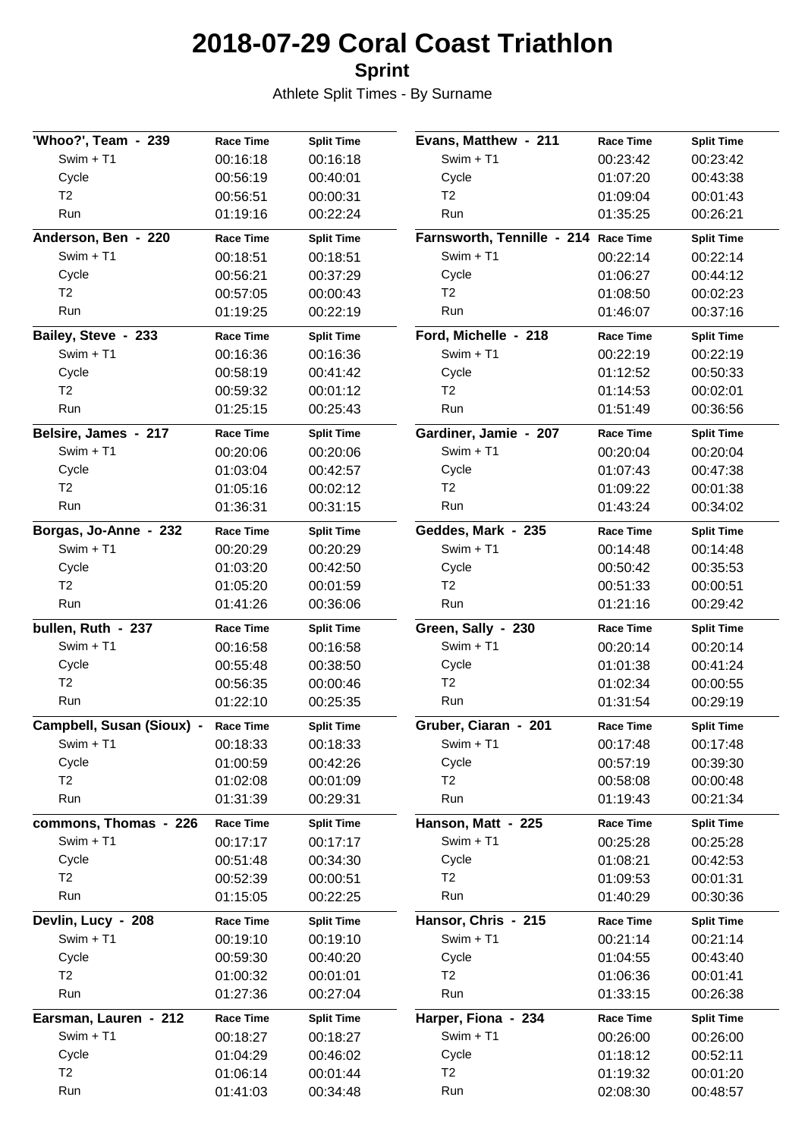## **2018-07-29 Coral Coast Triathlon**

**Sprint**

Athlete Split Times - By Surname

| 'Whoo?', Team - 239       | <b>Race Time</b> | <b>Split Time</b> | Evans, Matthew - 211                 | <b>Race Time</b> | <b>Split Time</b> |
|---------------------------|------------------|-------------------|--------------------------------------|------------------|-------------------|
| Swim + T1                 | 00:16:18         | 00:16:18          | $Swim + T1$                          | 00:23:42         | 00:23:42          |
| Cycle                     | 00:56:19         | 00:40:01          | Cycle                                | 01:07:20         | 00:43:38          |
| T2                        | 00:56:51         | 00:00:31          | T <sub>2</sub>                       | 01:09:04         | 00:01:43          |
| Run                       | 01:19:16         | 00:22:24          | Run                                  | 01:35:25         | 00:26:21          |
| Anderson, Ben - 220       | <b>Race Time</b> | <b>Split Time</b> | Farnsworth, Tennille - 214 Race Time |                  | <b>Split Time</b> |
| Swim + T1                 | 00:18:51         | 00:18:51          | $Swim + T1$                          | 00:22:14         | 00:22:14          |
| Cycle                     | 00:56:21         | 00:37:29          | Cycle                                | 01:06:27         | 00:44:12          |
| T <sub>2</sub>            | 00:57:05         | 00:00:43          | T <sub>2</sub>                       | 01:08:50         | 00:02:23          |
| Run                       | 01:19:25         | 00:22:19          | Run                                  | 01:46:07         | 00:37:16          |
| Bailey, Steve - 233       | <b>Race Time</b> | <b>Split Time</b> | Ford, Michelle - 218                 | <b>Race Time</b> | <b>Split Time</b> |
| Swim + T1                 | 00:16:36         | 00:16:36          | $Swim + T1$                          | 00:22:19         | 00:22:19          |
| Cycle                     | 00:58:19         | 00:41:42          | Cycle                                | 01:12:52         | 00:50:33          |
| T2                        | 00:59:32         | 00:01:12          | T <sub>2</sub>                       | 01:14:53         | 00:02:01          |
| Run                       | 01:25:15         | 00:25:43          | Run                                  | 01:51:49         | 00:36:56          |
| Belsire, James - 217      | <b>Race Time</b> | <b>Split Time</b> | Gardiner, Jamie - 207                | <b>Race Time</b> | <b>Split Time</b> |
| Swim + T1                 | 00:20:06         | 00:20:06          | $Swim + T1$                          | 00:20:04         | 00:20:04          |
| Cycle                     | 01:03:04         | 00:42:57          | Cycle                                | 01:07:43         | 00:47:38          |
| T2                        | 01:05:16         | 00:02:12          | T2                                   | 01:09:22         | 00:01:38          |
| Run                       | 01:36:31         | 00:31:15          | Run                                  | 01:43:24         | 00:34:02          |
| Borgas, Jo-Anne - 232     | <b>Race Time</b> | <b>Split Time</b> | Geddes, Mark - 235                   | <b>Race Time</b> | <b>Split Time</b> |
| Swim + T1                 | 00:20:29         | 00:20:29          | $Swim + T1$                          | 00:14:48         | 00:14:48          |
| Cycle                     | 01:03:20         | 00:42:50          | Cycle                                | 00:50:42         | 00:35:53          |
| T2                        | 01:05:20         | 00:01:59          | T <sub>2</sub>                       | 00:51:33         | 00:00:51          |
| Run                       | 01:41:26         | 00:36:06          | Run                                  | 01:21:16         | 00:29:42          |
| bullen, Ruth - 237        | <b>Race Time</b> | <b>Split Time</b> | Green, Sally - 230                   | <b>Race Time</b> | <b>Split Time</b> |
| Swim + T1                 | 00:16:58         | 00:16:58          | $Swim + T1$                          | 00:20:14         | 00:20:14          |
| Cycle                     | 00:55:48         | 00:38:50          | Cycle                                | 01:01:38         | 00:41:24          |
| T2                        | 00:56:35         | 00:00:46          | T2                                   | 01:02:34         | 00:00:55          |
| Run                       | 01:22:10         | 00:25:35          | Run                                  | 01:31:54         | 00:29:19          |
| Campbell, Susan (Sioux) - | <b>Race Time</b> | <b>Split Time</b> | Gruber, Ciaran - 201                 | <b>Race Time</b> | <b>Split Time</b> |
| Swim + T1                 | 00:18:33         | 00:18:33          | $Swim + T1$                          | 00:17:48         | 00:17:48          |
| Cycle                     | 01:00:59         | 00:42:26          | Cycle                                | 00:57:19         | 00:39:30          |
| T <sub>2</sub>            | 01:02:08         | 00:01:09          | T <sub>2</sub>                       | 00:58:08         | 00:00:48          |
| Run                       | 01:31:39         | 00:29:31          | Run                                  | 01:19:43         | 00:21:34          |
| commons, Thomas - 226     | <b>Race Time</b> | <b>Split Time</b> | Hanson, Matt - 225                   | <b>Race Time</b> | <b>Split Time</b> |
| Swim + T1                 | 00:17:17         | 00:17:17          | $Swim + T1$                          | 00:25:28         | 00:25:28          |
| Cycle                     | 00:51:48         | 00:34:30          | Cycle                                | 01:08:21         | 00:42:53          |
| T <sub>2</sub>            | 00:52:39         | 00:00:51          | T <sub>2</sub>                       | 01:09:53         | 00:01:31          |
| Run                       | 01:15:05         | 00:22:25          | Run                                  | 01:40:29         | 00:30:36          |
| Devlin, Lucy - 208        | <b>Race Time</b> | <b>Split Time</b> | Hansor, Chris - 215                  | <b>Race Time</b> | <b>Split Time</b> |
| Swim + T1                 | 00:19:10         | 00:19:10          | $Swim + T1$                          | 00:21:14         | 00:21:14          |
| Cycle                     | 00:59:30         | 00:40:20          | Cycle                                | 01:04:55         | 00:43:40          |
| T <sub>2</sub>            | 01:00:32         | 00:01:01          | T <sub>2</sub>                       | 01:06:36         | 00:01:41          |
| Run                       | 01:27:36         | 00:27:04          | Run                                  | 01:33:15         | 00:26:38          |
| Earsman, Lauren - 212     | <b>Race Time</b> | <b>Split Time</b> | Harper, Fiona - 234                  | <b>Race Time</b> | <b>Split Time</b> |
| Swim + T1                 | 00:18:27         | 00:18:27          | $Swim + T1$                          | 00:26:00         | 00:26:00          |
| Cycle                     | 01:04:29         | 00:46:02          | Cycle                                | 01:18:12         | 00:52:11          |
| T <sub>2</sub>            | 01:06:14         | 00:01:44          | T <sub>2</sub>                       | 01:19:32         | 00:01:20          |
| Run                       | 01:41:03         | 00:34:48          | Run                                  | 02:08:30         | 00:48:57          |